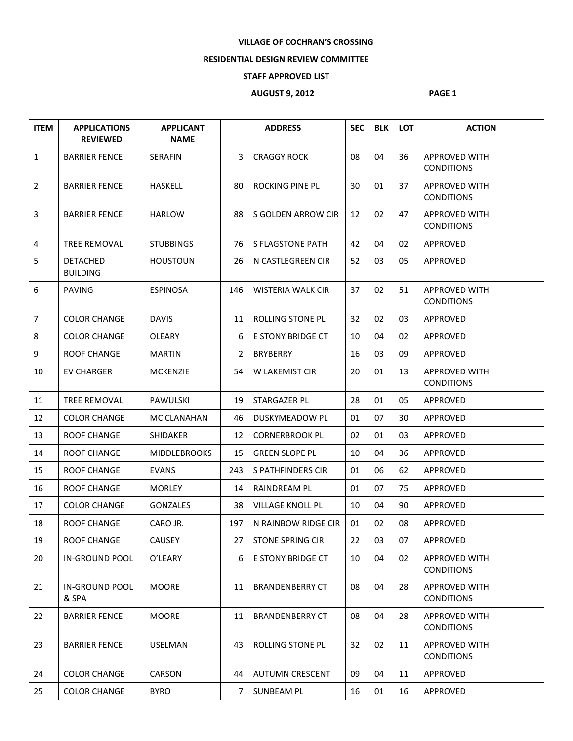## **VILLAGE OF COCHRAN'S CROSSING**

## **RESIDENTIAL DESIGN REVIEW COMMITTEE**

## **STAFF APPROVED LIST**

## **AUGUST 9, 2012 PAGE 1**

| <b>ITEM</b>    | <b>APPLICATIONS</b><br><b>REVIEWED</b> | <b>APPLICANT</b><br><b>NAME</b> |                | <b>ADDRESS</b>           | <b>SEC</b> | <b>BLK</b> | <b>LOT</b> | <b>ACTION</b>                             |
|----------------|----------------------------------------|---------------------------------|----------------|--------------------------|------------|------------|------------|-------------------------------------------|
| $\mathbf{1}$   | <b>BARRIER FENCE</b>                   | <b>SERAFIN</b>                  | 3              | <b>CRAGGY ROCK</b>       | 08         | 04         | 36         | <b>APPROVED WITH</b><br><b>CONDITIONS</b> |
| $\overline{2}$ | <b>BARRIER FENCE</b>                   | <b>HASKELL</b>                  | 80             | ROCKING PINE PL          | 30         | 01         | 37         | <b>APPROVED WITH</b><br><b>CONDITIONS</b> |
| 3              | <b>BARRIER FENCE</b>                   | <b>HARLOW</b>                   | 88             | S GOLDEN ARROW CIR       | 12         | 02         | 47         | <b>APPROVED WITH</b><br><b>CONDITIONS</b> |
| 4              | <b>TREE REMOVAL</b>                    | <b>STUBBINGS</b>                | 76             | S FLAGSTONE PATH         | 42         | 04         | 02         | APPROVED                                  |
| 5              | <b>DETACHED</b><br><b>BUILDING</b>     | <b>HOUSTOUN</b>                 | 26             | N CASTLEGREEN CIR        | 52         | 03         | 05         | APPROVED                                  |
| 6              | <b>PAVING</b>                          | <b>ESPINOSA</b>                 | 146            | <b>WISTERIA WALK CIR</b> | 37         | 02         | 51         | <b>APPROVED WITH</b><br><b>CONDITIONS</b> |
| $\overline{7}$ | <b>COLOR CHANGE</b>                    | <b>DAVIS</b>                    | 11             | ROLLING STONE PL         | 32         | 02         | 03         | APPROVED                                  |
| 8              | <b>COLOR CHANGE</b>                    | <b>OLEARY</b>                   | 6              | <b>E STONY BRIDGE CT</b> | 10         | 04         | 02         | APPROVED                                  |
| 9              | <b>ROOF CHANGE</b>                     | <b>MARTIN</b>                   | $\mathbf{2}$   | <b>BRYBERRY</b>          | 16         | 03         | 09         | <b>APPROVED</b>                           |
| 10             | <b>EV CHARGER</b>                      | <b>MCKENZIE</b>                 | 54             | <b>W LAKEMIST CIR</b>    | 20         | 01         | 13         | <b>APPROVED WITH</b><br><b>CONDITIONS</b> |
| 11             | <b>TREE REMOVAL</b>                    | PAWULSKI                        | 19             | STARGAZER PL             | 28         | 01         | 05         | APPROVED                                  |
| 12             | <b>COLOR CHANGE</b>                    | MC CLANAHAN                     | 46             | <b>DUSKYMEADOW PL</b>    | 01         | 07         | 30         | APPROVED                                  |
| 13             | <b>ROOF CHANGE</b>                     | SHIDAKER                        | 12             | <b>CORNERBROOK PL</b>    | 02         | 01         | 03         | APPROVED                                  |
| 14             | <b>ROOF CHANGE</b>                     | <b>MIDDLEBROOKS</b>             | 15             | <b>GREEN SLOPE PL</b>    | 10         | 04         | 36         | APPROVED                                  |
| 15             | <b>ROOF CHANGE</b>                     | <b>EVANS</b>                    | 243            | S PATHFINDERS CIR        | 01         | 06         | 62         | APPROVED                                  |
| 16             | <b>ROOF CHANGE</b>                     | <b>MORLEY</b>                   | 14             | RAINDREAM PL             | 01         | 07         | 75         | APPROVED                                  |
| 17             | <b>COLOR CHANGE</b>                    | <b>GONZALES</b>                 | 38             | <b>VILLAGE KNOLL PL</b>  | 10         | 04         | 90         | APPROVED                                  |
| 18             | <b>ROOF CHANGE</b>                     | CARO JR.                        | 197            | N RAINBOW RIDGE CIR      | 01         | 02         | 08         | APPROVED                                  |
| 19             | <b>ROOF CHANGE</b>                     | CAUSEY                          |                | 27 STONE SPRING CIR      | 22         | 03         | 07         | APPROVED                                  |
| 20             | IN-GROUND POOL                         | O'LEARY                         | 6              | E STONY BRIDGE CT        | 10         | 04         | 02         | <b>APPROVED WITH</b><br><b>CONDITIONS</b> |
| 21             | <b>IN-GROUND POOL</b><br>& SPA         | <b>MOORE</b>                    | 11             | <b>BRANDENBERRY CT</b>   | 08         | 04         | 28         | <b>APPROVED WITH</b><br><b>CONDITIONS</b> |
| 22             | <b>BARRIER FENCE</b>                   | <b>MOORE</b>                    | 11             | <b>BRANDENBERRY CT</b>   | 08         | 04         | 28         | <b>APPROVED WITH</b><br><b>CONDITIONS</b> |
| 23             | <b>BARRIER FENCE</b>                   | <b>USELMAN</b>                  | 43             | ROLLING STONE PL         | 32         | 02         | 11         | <b>APPROVED WITH</b><br><b>CONDITIONS</b> |
| 24             | <b>COLOR CHANGE</b>                    | <b>CARSON</b>                   | 44             | <b>AUTUMN CRESCENT</b>   | 09         | 04         | 11         | APPROVED                                  |
| 25             | <b>COLOR CHANGE</b>                    | <b>BYRO</b>                     | $\overline{7}$ | SUNBEAM PL               | 16         | 01         | 16         | APPROVED                                  |